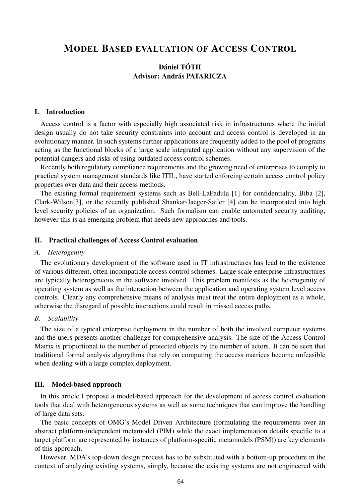# MODEL BASED EVALUATION OF ACCESS CONTROL

# Dániel TÓTH Advisor: András PATARICZA

## I. Introduction

Access control is a factor with especially high associated risk in infrastructures where the initial design usually do not take security constraints into account and access control is developed in an evolutionary manner. In such systems further applications are frequently added to the pool of programs acting as the functional blocks of a large scale integrated application without any supervision of the potential dangers and risks of using outdated access control schemes.

Recently both regulatory compliance requirements and the growing need of enterprises to comply to practical system management standards like ITIL, have started enforcing certain access control policy properties over data and their access methods.

The existing formal requirement systems such as Bell-LaPadula [1] for confidentiality, Biba [2], Clark-Wilson[3], or the recently published Shankar-Jaeger-Sailer [4] can be incorporated into high level security policies of an organization. Such formalism can enable automated security auditing, however this is an emerging problem that needs new approaches and tools.

## II. Practical challenges of Access Control evaluation

#### *A. Heterogenity*

The evolutionary development of the software used in IT infrastructures has lead to the existence of various different, often incompatible access control schemes. Large scale enterprise infrastructures are typically heterogeneous in the software involved. This problem manifests as the heterogenity of operating system as well as the interaction between the application and operating system level access controls. Clearly any comprehensive means of analysis must treat the entire deployment as a whole, otherwise the disregard of possible interactions could result in missed access paths.

#### *B. Scalability*

The size of a typical enterprise deployment in the number of both the involved computer systems and the users presents another challenge for comprehensive analysis. The size of the Access Control Matrix is proportional to the number of protected objects by the number of actors. It can be seen that traditional formal analysis algorythms that rely on computing the access matrices become unfeasible when dealing with a large complex deployment.

## III. Model-based approach

In this article I propose a model-based approach for the development of access control evaluation tools that deal with heterogeneous systems as well as some techniques that can improve the handling of large data sets.

The basic concepts of OMG's Model Driven Architecture (formulating the requirements over an abstract platform-independent metamodel (PIM) while the exact implementation details specific to a target platform are represented by instances of platform-specific metamodels (PSM)) are key elements of this approach.

However, MDA's top-down design process has to be substituted with a bottom-up procedure in the context of analyzing existing systems, simply, because the existing systems are not engineered with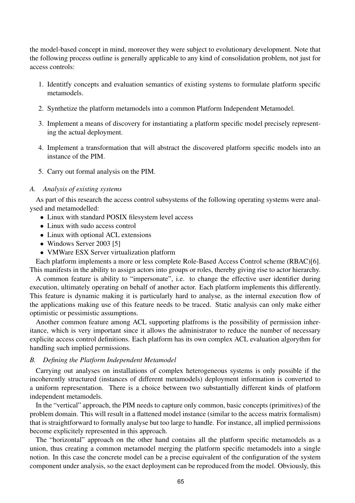the model-based concept in mind, moreover they were subject to evolutionary development. Note that the following process outline is generally applicable to any kind of consolidation problem, not just for access controls:

- 1. Identitfy concepts and evaluation semantics of existing systems to formulate platform specific metamodels.
- 2. Synthetize the platform metamodels into a common Platform Independent Metamodel.
- 3. Implement a means of discovery for instantiating a platform specific model precisely representing the actual deployment.
- 4. Implement a transformation that will abstract the discovered platform specific models into an instance of the PIM.
- 5. Carry out formal analysis on the PIM.

## *A. Analysis of existing systems*

As part of this research the access control subsystems of the following operating systems were analysed and metamodelled:

- Linux with standard POSIX filesystem level access
- Linux with sudo access control
- Linux with optional ACL extensions
- Windows Server 2003 [5]
- VMWare ESX Server virtualization platform

Each platform implements a more or less complete Role-Based Access Control scheme (RBAC)[6]. This manifests in the ability to assign actors into groups or roles, thereby giving rise to actor hierarchy.

A common feature is ability to "impersonate", i.e. to change the effective user identifier during execution, ultimately operating on behalf of another actor. Each platform implements this differently. This feature is dynamic making it is particularly hard to analyse, as the internal execution flow of the applications making use of this feature needs to be traced. Static analysis can only make either optimistic or pessimistic assumptions.

Another common feature among ACL supporting platfroms is the possibility of permission inheritance, which is very important since it allows the administrator to reduce the number of necessary explicite access control definitions. Each platform has its own complex ACL evaluation algorythm for handling such implied permissions.

# *B. Defining the Platform Independent Metamodel*

Carrying out analyses on installations of complex heterogeneous systems is only possible if the incoherently structured (instances of different metamodels) deployment information is converted to a uniform representation. There is a choice between two substantially different kinds of platform independent metamodels.

In the "vertical" approach, the PIM needs to capture only common, basic concepts (primitives) of the problem domain. This will result in a flattened model instance (similar to the access matrix formalism) that is straightforward to formally analyse but too large to handle. For instance, all implied permissions become explicitely represented in this approach.

The "horizontal" approach on the other hand contains all the platform specific metamodels as a union, thus creating a common metamodel merging the platform specific metamodels into a single notion. In this case the concrete model can be a precise equivalent of the configuration of the system component under analysis, so the exact deployment can be reproduced from the model. Obviously, this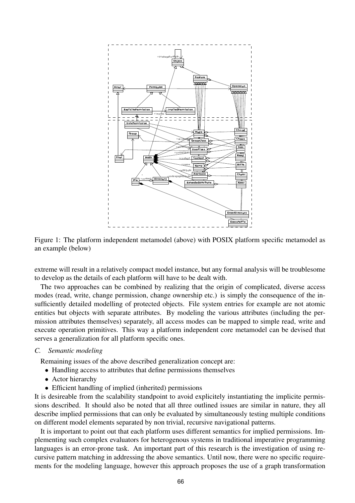



extreme will result in a relatively compact model instance, but any formal analysis will be troublesome to develop as the details of each platform will have to be dealt with.

The two approaches can be combined by realizing that the origin of complicated, diverse access modes (read, write, change permission, change ownership etc.) is simply the consequence of the insufficiently detailed modelling of protected objects. File system entries for example are not atomic entities but objects with separate attributes. By modeling the various attributes (including the permission attributes themselves) separately, all access modes can be mapped to simple read, write and execute operation primitives. This way a platform independent core metamodel can be devised that serves a generalization for all platform specific ones.

## *C. Semantic modeling*

Remaining issues of the above described generalization concept are:

- Handling access to attributes that define permissions themselves
- Actor hierarchy
- Efficient handling of implied (inherited) permissions

It is desireable from the scalability standpoint to avoid explicitely instantiating the implicite permissions described. It should also be noted that all three outlined issues are similar in nature, they all describe implied permissions that can only be evaluated by simultaneously testing multiple conditions on different model elements separated by non trivial, recursive navigational patterns.

It is important to point out that each platform uses different semantics for implied permissions. Implementing such complex evaluators for heterogenous systems in traditional imperative programming languages is an error-prone task. An important part of this research is the investigation of using recursive pattern matching in addressing the above semantics. Until now, there were no specific requirements for the modeling language, however this approach proposes the use of a graph transformation